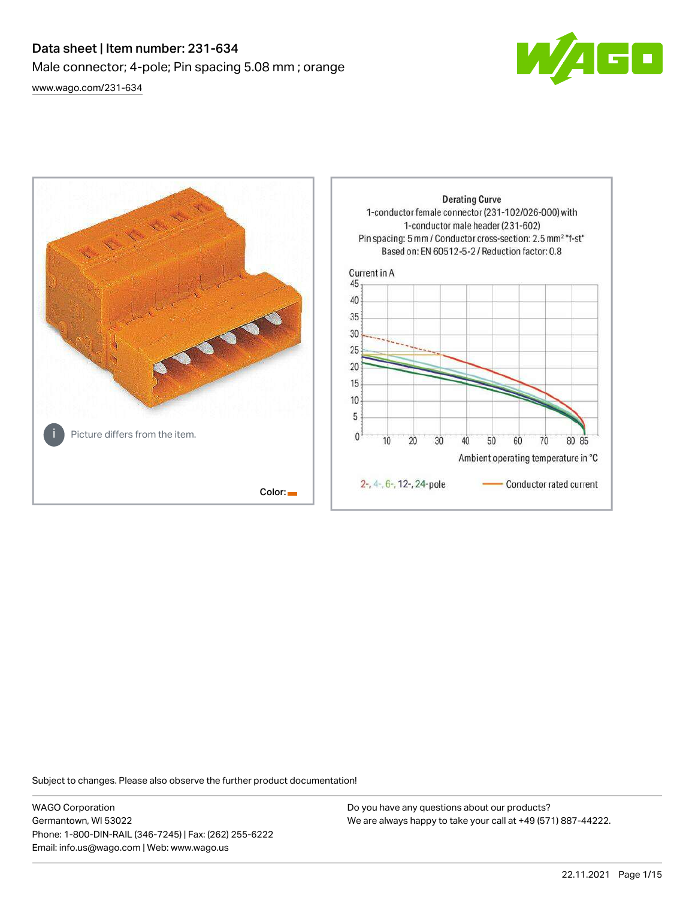# Data sheet | Item number: 231-634 Male connector; 4-pole; Pin spacing 5.08 mm ; orange [www.wago.com/231-634](http://www.wago.com/231-634)



80 85

**Derating Curve** 1-conductor female connector (231-102/026-000) with 1-conductor male header (231-602) Pin spacing: 5 mm / Conductor cross-section: 2.5 mm<sup>2</sup> "f-st" Based on: EN 60512-5-2 / Reduction factor: 0.8 Current in A 45 40 35 30 25  $20$ 15 10 5 Picture differs from the item.  $\mathbf{0}$  $10$ 20 30 40 50 60 70 Ambient operating temperature in °C 2-, 4-, 6-, 12-, 24-pole Conductor rated current Color:

Subject to changes. Please also observe the further product documentation!

WAGO Corporation Germantown, WI 53022 Phone: 1-800-DIN-RAIL (346-7245) | Fax: (262) 255-6222 Email: info.us@wago.com | Web: www.wago.us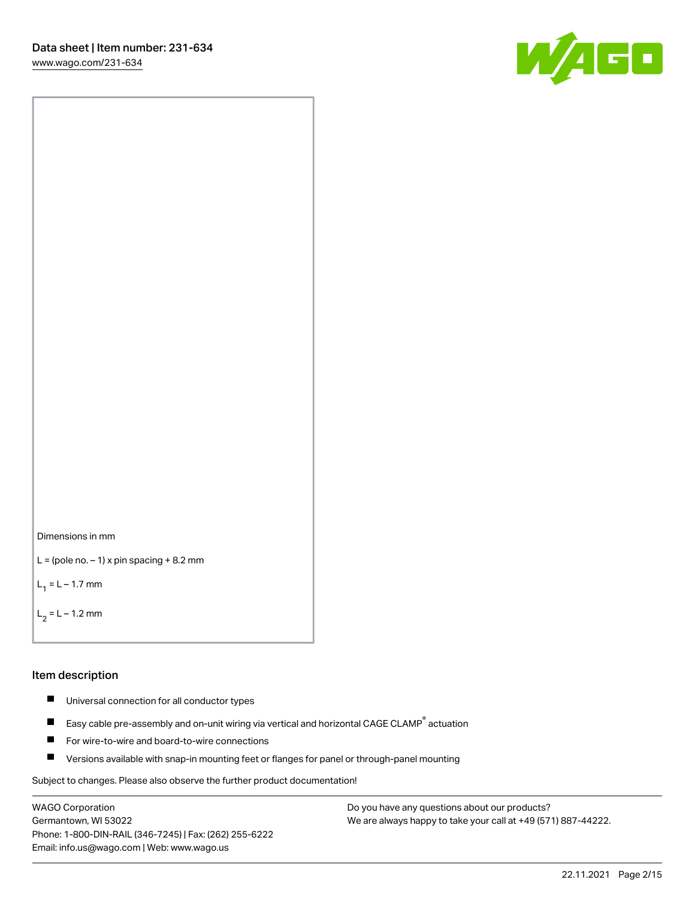[www.wago.com/231-634](http://www.wago.com/231-634)





```
L = (pole no. -1) x pin spacing +8.2 mm
```
 $L_1 = L - 1.7$  mm

```
L_2 = L - 1.2 mm
```
### Item description

- $\blacksquare$ Universal connection for all conductor types
- Easy cable pre-assembly and on-unit wiring via vertical and horizontal CAGE CLAMP<sup>®</sup> actuation  $\blacksquare$
- П For wire-to-wire and board-to-wire connections
- $\blacksquare$ Versions available with snap-in mounting feet or flanges for panel or through-panel mounting

Subject to changes. Please also observe the further product documentation!

WAGO Corporation Germantown, WI 53022 Phone: 1-800-DIN-RAIL (346-7245) | Fax: (262) 255-6222 Email: info.us@wago.com | Web: www.wago.us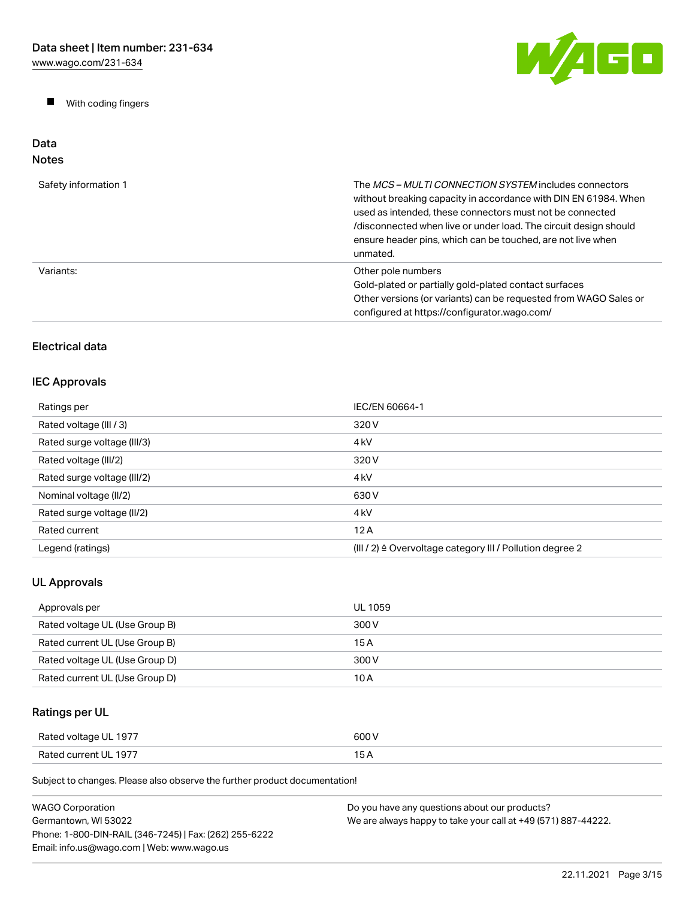$\blacksquare$ With coding fingers



### Data Notes

| Safety information 1 | The MCS-MULTI CONNECTION SYSTEM includes connectors<br>without breaking capacity in accordance with DIN EN 61984. When<br>used as intended, these connectors must not be connected<br>/disconnected when live or under load. The circuit design should<br>ensure header pins, which can be touched, are not live when<br>unmated. |
|----------------------|-----------------------------------------------------------------------------------------------------------------------------------------------------------------------------------------------------------------------------------------------------------------------------------------------------------------------------------|
| Variants:            | Other pole numbers<br>Gold-plated or partially gold-plated contact surfaces<br>Other versions (or variants) can be requested from WAGO Sales or<br>configured at https://configurator.wago.com/                                                                                                                                   |

# Electrical data

# IEC Approvals

| Ratings per                 | IEC/EN 60664-1                                                       |
|-----------------------------|----------------------------------------------------------------------|
| Rated voltage (III / 3)     | 320 V                                                                |
| Rated surge voltage (III/3) | 4 <sub>kV</sub>                                                      |
| Rated voltage (III/2)       | 320 V                                                                |
| Rated surge voltage (III/2) | 4 <sub>k</sub> V                                                     |
| Nominal voltage (II/2)      | 630 V                                                                |
| Rated surge voltage (II/2)  | 4 <sub>k</sub> V                                                     |
| Rated current               | 12A                                                                  |
| Legend (ratings)            | (III / 2) $\triangleq$ Overvoltage category III / Pollution degree 2 |

# UL Approvals

| Approvals per                  | UL 1059 |
|--------------------------------|---------|
| Rated voltage UL (Use Group B) | 300 V   |
| Rated current UL (Use Group B) | 15 A    |
| Rated voltage UL (Use Group D) | 300 V   |
| Rated current UL (Use Group D) | 10 A    |

# Ratings per UL

| Rated voltage UL 1977 | 600 V |
|-----------------------|-------|
| Rated current UL 1977 | . .   |

| <b>WAGO Corporation</b>                                | Do you have any questions about our products?                 |
|--------------------------------------------------------|---------------------------------------------------------------|
| Germantown. WI 53022                                   | We are always happy to take your call at +49 (571) 887-44222. |
| Phone: 1-800-DIN-RAIL (346-7245)   Fax: (262) 255-6222 |                                                               |
| Email: info.us@wago.com   Web: www.wago.us             |                                                               |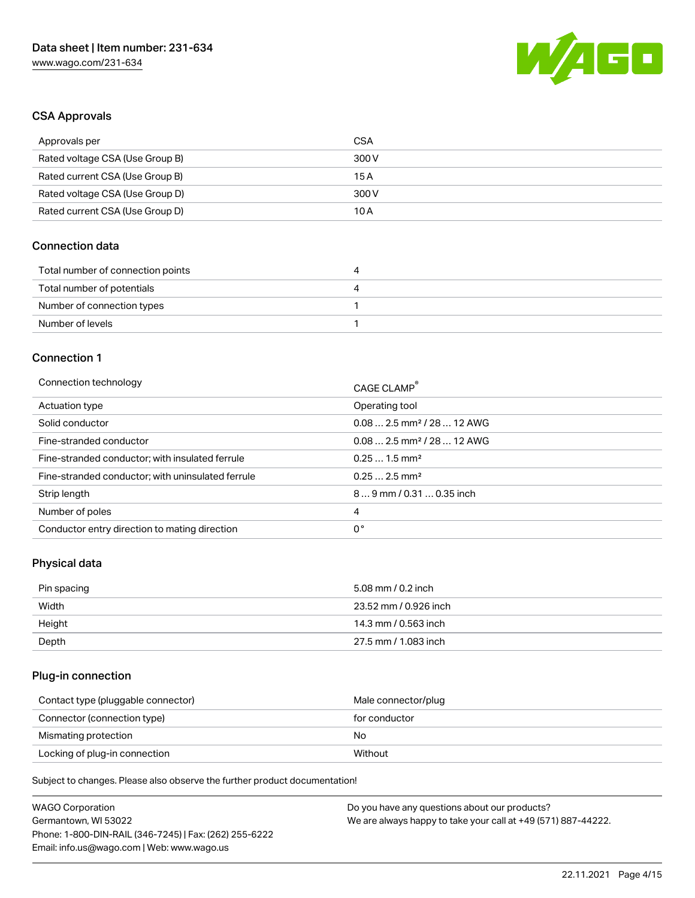

## CSA Approvals

| Approvals per                   | CSA   |
|---------------------------------|-------|
| Rated voltage CSA (Use Group B) | 300 V |
| Rated current CSA (Use Group B) | 15 A  |
| Rated voltage CSA (Use Group D) | 300 V |
| Rated current CSA (Use Group D) | 10 A  |

## Connection data

| Total number of connection points | 4 |
|-----------------------------------|---|
| Total number of potentials        | 4 |
| Number of connection types        |   |
| Number of levels                  |   |

### Connection 1

| Connection technology                             | CAGE CLAMP®                            |
|---------------------------------------------------|----------------------------------------|
| Actuation type                                    | Operating tool                         |
| Solid conductor                                   | $0.082.5$ mm <sup>2</sup> / 28  12 AWG |
| Fine-stranded conductor                           | $0.082.5$ mm <sup>2</sup> / 28  12 AWG |
| Fine-stranded conductor; with insulated ferrule   | $0.251.5$ mm <sup>2</sup>              |
| Fine-stranded conductor; with uninsulated ferrule | $0.252.5$ mm <sup>2</sup>              |
| Strip length                                      | $89$ mm / 0.31  0.35 inch              |
| Number of poles                                   | 4                                      |
| Conductor entry direction to mating direction     | 0°                                     |
|                                                   |                                        |

# Physical data

| Pin spacing | 5.08 mm / 0.2 inch    |
|-------------|-----------------------|
| Width       | 23.52 mm / 0.926 inch |
| Height      | 14.3 mm / 0.563 inch  |
| Depth       | 27.5 mm / 1.083 inch  |

# Plug-in connection

| Contact type (pluggable connector) | Male connector/plug |
|------------------------------------|---------------------|
| Connector (connection type)        | for conductor       |
| Mismating protection               | No.                 |
| Locking of plug-in connection      | Without             |

| <b>WAGO Corporation</b>                                | Do you have any questions about our products?                 |
|--------------------------------------------------------|---------------------------------------------------------------|
| Germantown, WI 53022                                   | We are always happy to take your call at +49 (571) 887-44222. |
| Phone: 1-800-DIN-RAIL (346-7245)   Fax: (262) 255-6222 |                                                               |
| Email: info.us@wago.com   Web: www.wago.us             |                                                               |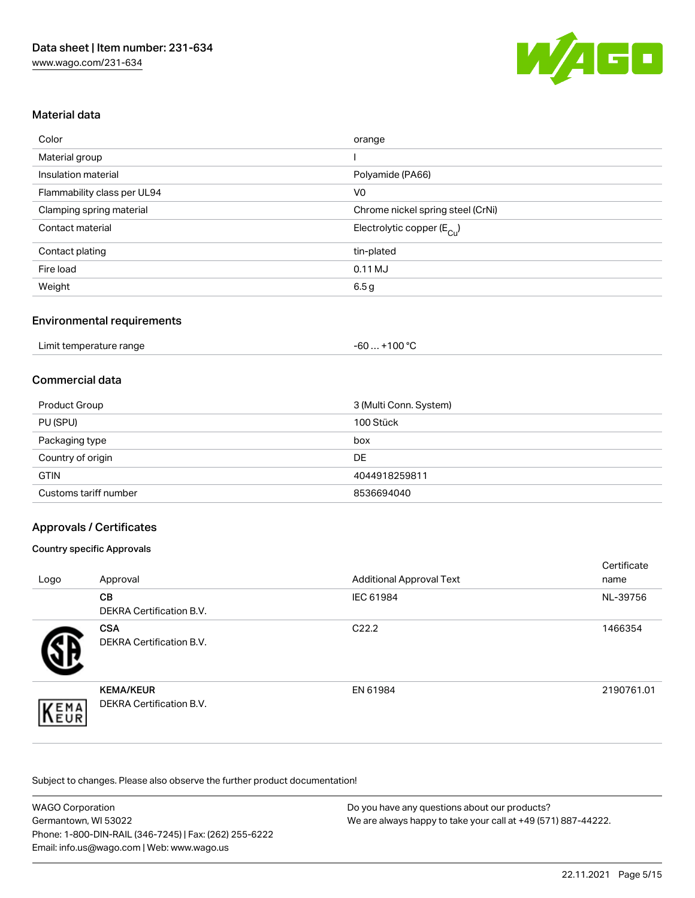

# Material data

| Color                       | orange                                |
|-----------------------------|---------------------------------------|
| Material group              |                                       |
| Insulation material         | Polyamide (PA66)                      |
| Flammability class per UL94 | V <sub>0</sub>                        |
| Clamping spring material    | Chrome nickel spring steel (CrNi)     |
| Contact material            | Electrolytic copper $(E_{\text{Cl}})$ |
| Contact plating             | tin-plated                            |
| Fire load                   | 0.11 MJ                               |
| Weight                      | 6.5 <sub>g</sub>                      |

## Environmental requirements

| Limit temperature range | $-60+100 °C$ |  |
|-------------------------|--------------|--|
|-------------------------|--------------|--|

## Commercial data

| <b>Product Group</b>  | 3 (Multi Conn. System) |
|-----------------------|------------------------|
| PU (SPU)              | 100 Stück              |
| Packaging type        | box                    |
| Country of origin     | <b>DE</b>              |
| <b>GTIN</b>           | 4044918259811          |
| Customs tariff number | 8536694040             |

# Approvals / Certificates

### Country specific Approvals

| Logo | Approval                                     | <b>Additional Approval Text</b> | Certificate<br>name |
|------|----------------------------------------------|---------------------------------|---------------------|
|      | <b>CB</b><br><b>DEKRA Certification B.V.</b> | IEC 61984                       | NL-39756            |
|      | <b>CSA</b><br>DEKRA Certification B.V.       | C <sub>22.2</sub>               | 1466354             |
| EMA  | <b>KEMA/KEUR</b><br>DEKRA Certification B.V. | EN 61984                        | 2190761.01          |

| <b>WAGO Corporation</b>                                | Do you have any questions about our products?                 |
|--------------------------------------------------------|---------------------------------------------------------------|
| Germantown, WI 53022                                   | We are always happy to take your call at +49 (571) 887-44222. |
| Phone: 1-800-DIN-RAIL (346-7245)   Fax: (262) 255-6222 |                                                               |
| Email: info.us@wago.com   Web: www.wago.us             |                                                               |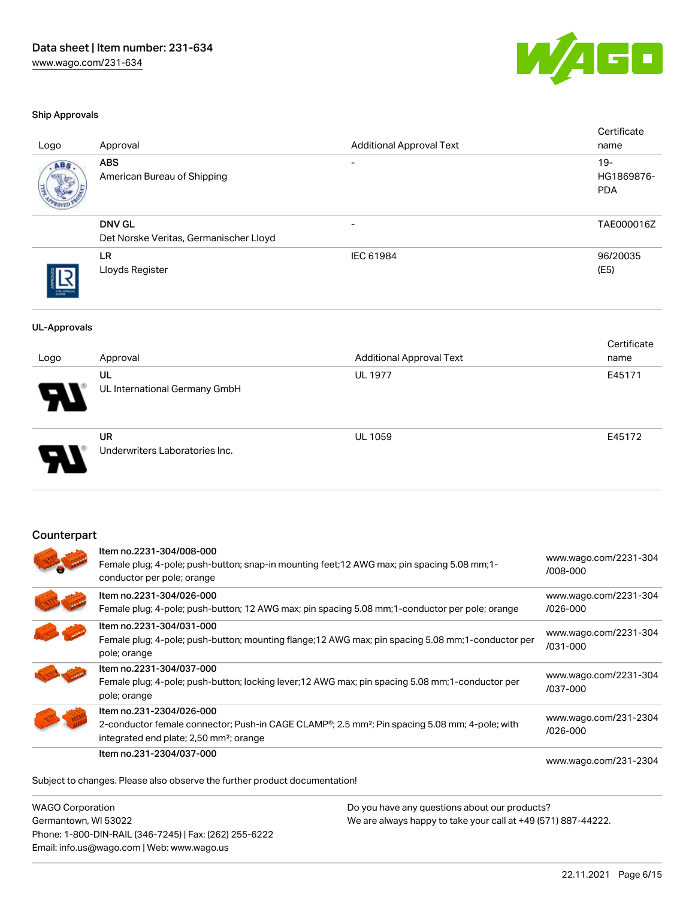

### Ship Approvals

| Logo                | Approval                                                                                                                                               | <b>Additional Approval Text</b>                                                                     | Certificate<br>name                |
|---------------------|--------------------------------------------------------------------------------------------------------------------------------------------------------|-----------------------------------------------------------------------------------------------------|------------------------------------|
| <b>ABS</b>          | <b>ABS</b><br>American Bureau of Shipping                                                                                                              |                                                                                                     | $19 -$<br>HG1869876-<br><b>PDA</b> |
|                     | <b>DNV GL</b><br>Det Norske Veritas, Germanischer Lloyd                                                                                                |                                                                                                     | TAE000016Z                         |
|                     | LR.<br>Lloyds Register                                                                                                                                 | IEC 61984                                                                                           | 96/20035<br>(E5)                   |
| <b>UL-Approvals</b> |                                                                                                                                                        |                                                                                                     |                                    |
| Logo                | Approval                                                                                                                                               | <b>Additional Approval Text</b>                                                                     | Certificate<br>name                |
|                     | UL<br>UL International Germany GmbH                                                                                                                    | <b>UL 1977</b>                                                                                      | E45171                             |
|                     | <b>UR</b><br>Underwriters Laboratories Inc.                                                                                                            | <b>UL 1059</b>                                                                                      | E45172                             |
| Counterpart         |                                                                                                                                                        |                                                                                                     |                                    |
|                     | Item no.2231-304/008-000<br>Female plug; 4-pole; push-button; snap-in mounting feet; 12 AWG max; pin spacing 5.08 mm; 1-<br>conductor per pole; orange |                                                                                                     | www.wago.com/2231-304<br>/008-000  |
|                     | Item no.2231-304/026-000                                                                                                                               | Female plug; 4-pole; push-button; 12 AWG max; pin spacing 5.08 mm; 1-conductor per pole; orange     | www.wago.com/2231-304<br>/026-000  |
|                     | Item no.2231-304/031-000<br>pole; orange                                                                                                               | Female plug; 4-pole; push-button; mounting flange; 12 AWG max; pin spacing 5.08 mm; 1-conductor per | www.wago.com/2231-304<br>/031-000  |
|                     | Item no.2231-304/037-000<br>pole; orange                                                                                                               | Female plug; 4-pole; push-button; locking lever; 12 AWG max; pin spacing 5.08 mm; 1-conductor per   | www.wago.com/2231-304<br>/037-000  |
|                     | Item no.231-2304/026-000                                                                                                                               |                                                                                                     | www.wago.com/231-2304              |

2-conductor female connector; Push-in CAGE CLAMP®; 2.5 mm²; Pin spacing 5.08 mm; 4-pole; with

Item no.231-2304/037-000

[www.wago.com/231-2304](https://www.wago.com/231-2304/037-000)

[/026-000](https://www.wago.com/231-2304/026-000)

Subject to changes. Please also observe the further product documentation!

integrated end plate; 2,50 mm²; orange

WAGO Corporation Germantown, WI 53022 Phone: 1-800-DIN-RAIL (346-7245) | Fax: (262) 255-6222 Email: info.us@wago.com | Web: www.wago.us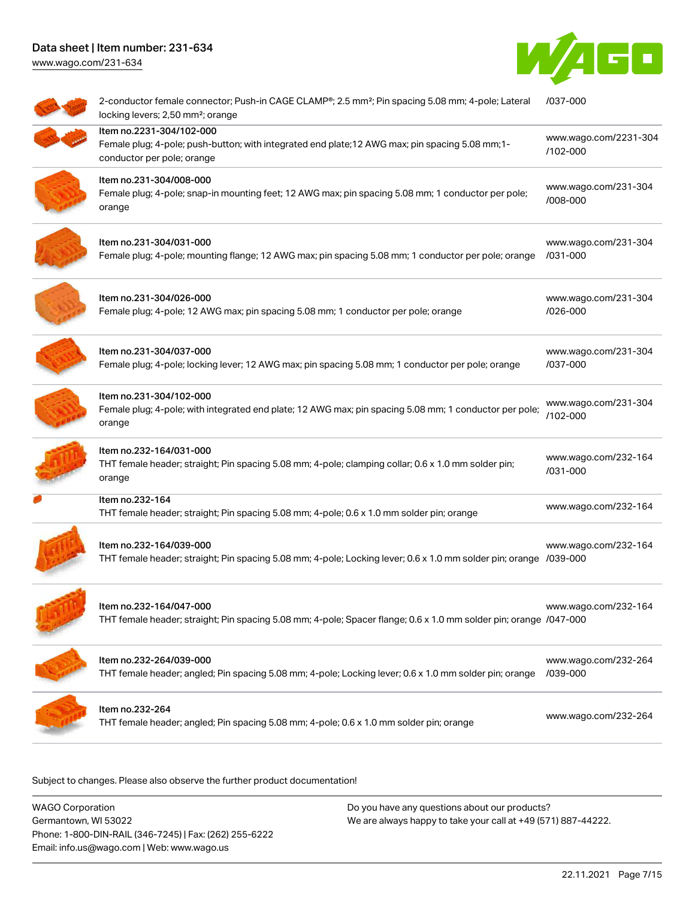



| 2-conductor female connector; Push-in CAGE CLAMP®; 2.5 mm <sup>2</sup> ; Pin spacing 5.08 mm; 4-pole; Lateral<br>locking levers; 2,50 mm <sup>2</sup> ; orange | /037-000                          |
|----------------------------------------------------------------------------------------------------------------------------------------------------------------|-----------------------------------|
| Item no.2231-304/102-000<br>Female plug; 4-pole; push-button; with integrated end plate; 12 AWG max; pin spacing 5.08 mm; 1-<br>conductor per pole; orange     | www.wago.com/2231-304<br>/102-000 |
| Item no.231-304/008-000<br>Female plug; 4-pole; snap-in mounting feet; 12 AWG max; pin spacing 5.08 mm; 1 conductor per pole;<br>orange                        | www.wago.com/231-304<br>/008-000  |
| Item no.231-304/031-000<br>Female plug; 4-pole; mounting flange; 12 AWG max; pin spacing 5.08 mm; 1 conductor per pole; orange                                 | www.wago.com/231-304<br>/031-000  |
| Item no.231-304/026-000<br>Female plug; 4-pole; 12 AWG max; pin spacing 5.08 mm; 1 conductor per pole; orange                                                  | www.wago.com/231-304<br>/026-000  |
| Item no.231-304/037-000<br>Female plug; 4-pole; locking lever; 12 AWG max; pin spacing 5.08 mm; 1 conductor per pole; orange                                   | www.wago.com/231-304<br>/037-000  |
| Item no.231-304/102-000<br>Female plug; 4-pole; with integrated end plate; 12 AWG max; pin spacing 5.08 mm; 1 conductor per pole;<br>orange                    | www.wago.com/231-304<br>/102-000  |
| Item no.232-164/031-000<br>THT female header; straight; Pin spacing 5.08 mm; 4-pole; clamping collar; 0.6 x 1.0 mm solder pin;<br>orange                       | www.wago.com/232-164<br>/031-000  |
| Item no.232-164<br>THT female header; straight; Pin spacing 5.08 mm; 4-pole; 0.6 x 1.0 mm solder pin; orange                                                   | www.wago.com/232-164              |
| Item no.232-164/039-000<br>THT female header; straight; Pin spacing 5.08 mm; 4-pole; Locking lever; 0.6 x 1.0 mm solder pin; orange /039-000                   | www.wago.com/232-164              |
| ltem no.232-164/047-000<br>THT female header; straight; Pin spacing 5.08 mm; 4-pole; Spacer flange; 0.6 x 1.0 mm solder pin; orange /047-000                   | www.wago.com/232-164              |
| Item no.232-264/039-000<br>THT female header; angled; Pin spacing 5.08 mm; 4-pole; Locking lever; 0.6 x 1.0 mm solder pin; orange                              | www.wago.com/232-264<br>/039-000  |
| Item no.232-264<br>THT female header; angled; Pin spacing 5.08 mm; 4-pole; 0.6 x 1.0 mm solder pin; orange                                                     | www.wago.com/232-264              |
|                                                                                                                                                                |                                   |

Subject to changes. Please also observe the further product documentation!

WAGO Corporation Germantown, WI 53022 Phone: 1-800-DIN-RAIL (346-7245) | Fax: (262) 255-6222 Email: info.us@wago.com | Web: www.wago.us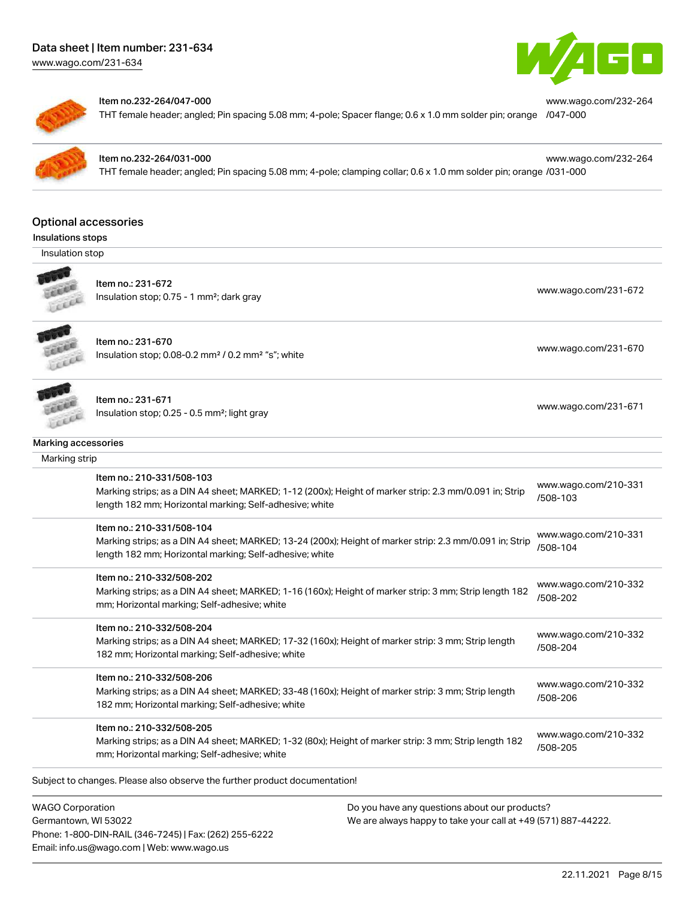[www.wago.com/231-634](http://www.wago.com/231-634)



[www.wago.com/232-264](https://www.wago.com/232-264/047-000)

[www.wago.com/232-264](https://www.wago.com/232-264/031-000)



#### Item no.232-264/047-000

THT female header; angled; Pin spacing 5.08 mm; 4-pole; Spacer flange; 0.6 x 1.0 mm solder pin; orange [/047-000](https://www.wago.com/232-264/047-000)



### Item no.232-264/031-000

THT female header; angled; Pin spacing 5.08 mm; 4-pole; clamping collar; 0.6 x 1.0 mm solder pin; orange [/031-000](https://www.wago.com/232-264/031-000)

### Optional accessories

Insulations stops

Insulation stop



Item no.: 231-672 Insulation stop; 0.75 - 1 mm<sup>2</sup>; dark gray [www.wago.com/231-672](http://www.wago.com/231-672) msulation stop; 0.75 - 1 mm<sup>2</sup>; dark gray

Item no.: 231-670 **CALLED** Insulation stop; 0.08-0.2 mm<sup>2</sup> / 0.2 mm<sup>2</sup> "s"; white [www.wago.com/231-670](http://www.wago.com/231-670) www.wago.com/231-670 FEREE



Item no.: 231-671

Insulation stop; 0.25 - 0.5 mm²; light gray [www.wago.com/231-671](http://www.wago.com/231-671) www.wago.com/231-671

### Marking accessories

 Marking strip Item no.: 210-331/508-103 Marking strips; as a DIN A4 sheet; MARKED; 1-12 (200x); Height of marker strip: 2.3 mm/0.091 in; Strip length 182 mm; Horizontal marking; Self-adhesive; white [www.wago.com/210-331](http://www.wago.com/210-331/508-103) [/508-103](http://www.wago.com/210-331/508-103) Item no.: 210-331/508-104 Marking strips; as a DIN A4 sheet; MARKED; 13-24 (200x); Height of marker strip: 2.3 mm/0.091 in; Strip length 182 mm; Horizontal marking; Self-adhesive; white [www.wago.com/210-331](http://www.wago.com/210-331/508-104) [/508-104](http://www.wago.com/210-331/508-104) Item no.: 210-332/508-202 Marking strips; as a DIN A4 sheet; MARKED; 1-16 (160x); Height of marker strip: 3 mm; Strip length 182 mm; Horizontal marking; Self-adhesive; white [www.wago.com/210-332](http://www.wago.com/210-332/508-202) [/508-202](http://www.wago.com/210-332/508-202) Item no.: 210-332/508-204 Marking strips; as a DIN A4 sheet; MARKED; 17-32 (160x); Height of marker strip: 3 mm; Strip length 182 mm; Horizontal marking; Self-adhesive; white [www.wago.com/210-332](http://www.wago.com/210-332/508-204) [/508-204](http://www.wago.com/210-332/508-204) Item no.: 210-332/508-206 Marking strips; as a DIN A4 sheet; MARKED; 33-48 (160x); Height of marker strip: 3 mm; Strip length 182 mm; Horizontal marking; Self-adhesive; white [www.wago.com/210-332](http://www.wago.com/210-332/508-206) [/508-206](http://www.wago.com/210-332/508-206) Item no.: 210-332/508-205 Marking strips; as a DIN A4 sheet; MARKED; 1-32 (80x); Height of marker strip: 3 mm; Strip length 182 mm; Horizontal marking; Self-adhesive; white [www.wago.com/210-332](http://www.wago.com/210-332/508-205) [/508-205](http://www.wago.com/210-332/508-205)

Subject to changes. Please also observe the further product documentation! Tools

WAGO Corporation Germantown, WI 53022 Phone: 1-800-DIN-RAIL (346-7245) | Fax: (262) 255-6222 Email: info.us@wago.com | Web: www.wago.us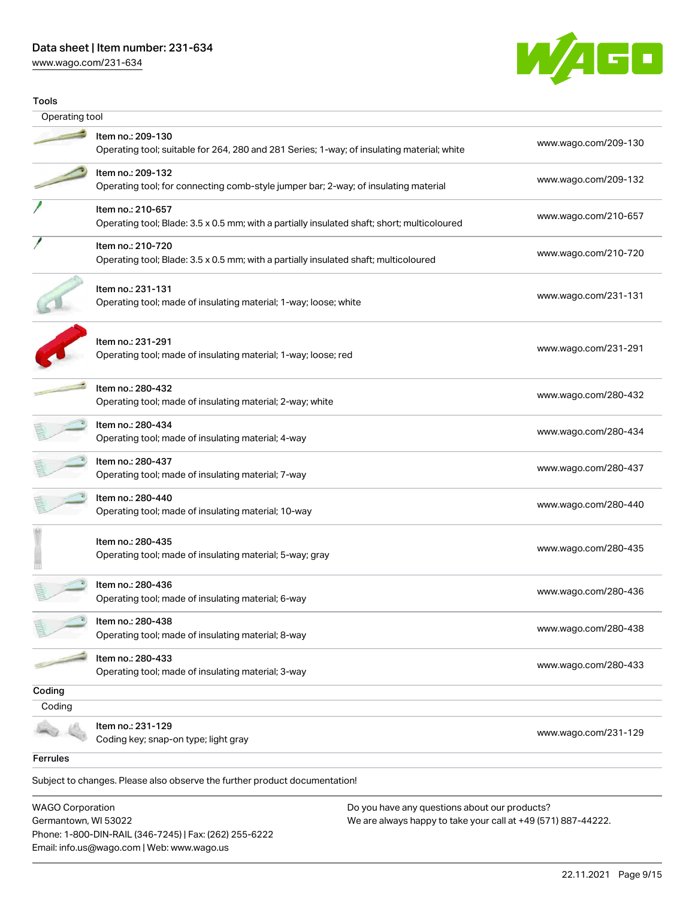[www.wago.com/231-634](http://www.wago.com/231-634)



| Tools          |                                                                                                                  |                      |
|----------------|------------------------------------------------------------------------------------------------------------------|----------------------|
| Operating tool |                                                                                                                  |                      |
|                | Item no.: 209-130<br>Operating tool; suitable for 264, 280 and 281 Series; 1-way; of insulating material; white  | www.wago.com/209-130 |
|                | Item no.: 209-132<br>Operating tool; for connecting comb-style jumper bar; 2-way; of insulating material         | www.wago.com/209-132 |
|                | Item no.: 210-657<br>Operating tool; Blade: 3.5 x 0.5 mm; with a partially insulated shaft; short; multicoloured | www.wago.com/210-657 |
|                | Item no.: 210-720<br>Operating tool; Blade: 3.5 x 0.5 mm; with a partially insulated shaft; multicoloured        | www.wago.com/210-720 |
|                | Item no.: 231-131<br>Operating tool; made of insulating material; 1-way; loose; white                            | www.wago.com/231-131 |
|                | Item no.: 231-291<br>Operating tool; made of insulating material; 1-way; loose; red                              | www.wago.com/231-291 |
|                | Item no.: 280-432<br>Operating tool; made of insulating material; 2-way; white                                   | www.wago.com/280-432 |
|                | Item no.: 280-434<br>Operating tool; made of insulating material; 4-way                                          | www.wago.com/280-434 |
|                | Item no.: 280-437<br>Operating tool; made of insulating material; 7-way                                          | www.wago.com/280-437 |
|                | Item no.: 280-440<br>Operating tool; made of insulating material; 10-way                                         | www.wago.com/280-440 |
|                | Item no.: 280-435<br>Operating tool; made of insulating material; 5-way; gray                                    | www.wago.com/280-435 |
|                | Item no.: 280-436<br>Operating tool; made of insulating material; 6-way                                          | www.wago.com/280-436 |
|                | Item no.: 280-438<br>Operating tool; made of insulating material; 8-way                                          | www.wago.com/280-438 |
|                | Item no.: 280-433<br>Operating tool; made of insulating material; 3-way                                          | www.wago.com/280-433 |
| Coding         |                                                                                                                  |                      |
| Coding         |                                                                                                                  |                      |
|                | Item no.: 231-129<br>Coding key; snap-on type; light gray                                                        | www.wago.com/231-129 |
| Ferrules       |                                                                                                                  |                      |

WAGO Corporation Germantown, WI 53022 Phone: 1-800-DIN-RAIL (346-7245) | Fax: (262) 255-6222 Email: info.us@wago.com | Web: www.wago.us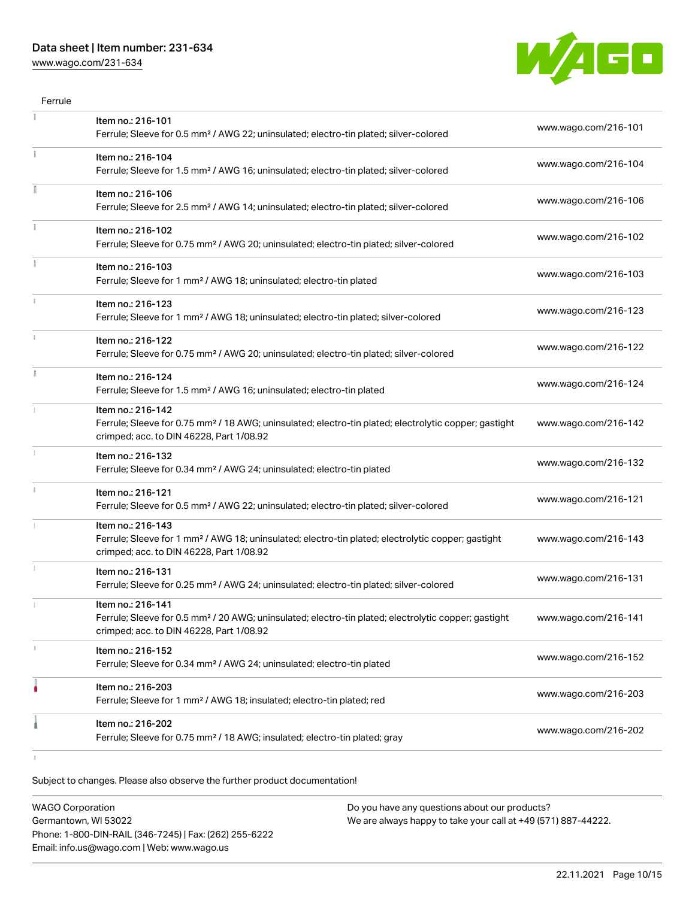[www.wago.com/231-634](http://www.wago.com/231-634)



| Ferrule |                                                                                                                                                                                    |                      |
|---------|------------------------------------------------------------------------------------------------------------------------------------------------------------------------------------|----------------------|
|         | Item no.: 216-101<br>Ferrule; Sleeve for 0.5 mm <sup>2</sup> / AWG 22; uninsulated; electro-tin plated; silver-colored                                                             | www.wago.com/216-101 |
|         | Item no.: 216-104<br>Ferrule; Sleeve for 1.5 mm <sup>2</sup> / AWG 16; uninsulated; electro-tin plated; silver-colored                                                             | www.wago.com/216-104 |
|         | Item no.: 216-106<br>Ferrule; Sleeve for 2.5 mm <sup>2</sup> / AWG 14; uninsulated; electro-tin plated; silver-colored                                                             | www.wago.com/216-106 |
|         | Item no.: 216-102<br>Ferrule; Sleeve for 0.75 mm <sup>2</sup> / AWG 20; uninsulated; electro-tin plated; silver-colored                                                            | www.wago.com/216-102 |
|         | Item no.: 216-103<br>Ferrule; Sleeve for 1 mm <sup>2</sup> / AWG 18; uninsulated; electro-tin plated                                                                               | www.wago.com/216-103 |
|         | Item no.: 216-123<br>Ferrule; Sleeve for 1 mm <sup>2</sup> / AWG 18; uninsulated; electro-tin plated; silver-colored                                                               | www.wago.com/216-123 |
|         | Item no.: 216-122<br>Ferrule; Sleeve for 0.75 mm <sup>2</sup> / AWG 20; uninsulated; electro-tin plated; silver-colored                                                            | www.wago.com/216-122 |
| I.      | Item no.: 216-124<br>Ferrule; Sleeve for 1.5 mm <sup>2</sup> / AWG 16; uninsulated; electro-tin plated                                                                             | www.wago.com/216-124 |
|         | Item no.: 216-142<br>Ferrule; Sleeve for 0.75 mm <sup>2</sup> / 18 AWG; uninsulated; electro-tin plated; electrolytic copper; gastight<br>crimped; acc. to DIN 46228, Part 1/08.92 | www.wago.com/216-142 |
|         | Item no.: 216-132<br>Ferrule; Sleeve for 0.34 mm <sup>2</sup> / AWG 24; uninsulated; electro-tin plated                                                                            | www.wago.com/216-132 |
| ī.      | Item no.: 216-121<br>Ferrule; Sleeve for 0.5 mm <sup>2</sup> / AWG 22; uninsulated; electro-tin plated; silver-colored                                                             | www.wago.com/216-121 |
|         | Item no.: 216-143<br>Ferrule; Sleeve for 1 mm <sup>2</sup> / AWG 18; uninsulated; electro-tin plated; electrolytic copper; gastight<br>crimped; acc. to DIN 46228, Part 1/08.92    | www.wago.com/216-143 |
|         | Item no.: 216-131<br>Ferrule; Sleeve for 0.25 mm <sup>2</sup> / AWG 24; uninsulated; electro-tin plated; silver-colored                                                            | www.wago.com/216-131 |
|         | Item no.: 216-141<br>Ferrule; Sleeve for 0.5 mm <sup>2</sup> / 20 AWG; uninsulated; electro-tin plated; electrolytic copper; gastight<br>crimped; acc. to DIN 46228, Part 1/08.92  | www.wago.com/216-141 |
| ı       | Item no.: 216-152<br>Ferrule; Sleeve for 0.34 mm <sup>2</sup> / AWG 24; uninsulated; electro-tin plated                                                                            | www.wago.com/216-152 |
|         | Item no.: 216-203<br>Ferrule; Sleeve for 1 mm <sup>2</sup> / AWG 18; insulated; electro-tin plated; red                                                                            | www.wago.com/216-203 |
|         | Item no.: 216-202<br>Ferrule; Sleeve for 0.75 mm <sup>2</sup> / 18 AWG; insulated; electro-tin plated; gray                                                                        | www.wago.com/216-202 |

 $\bar{1}$ 

| <b>WAGO Corporation</b>                                | Do you have any questions about our products?                 |
|--------------------------------------------------------|---------------------------------------------------------------|
| Germantown, WI 53022                                   | We are always happy to take your call at +49 (571) 887-44222. |
| Phone: 1-800-DIN-RAIL (346-7245)   Fax: (262) 255-6222 |                                                               |
| Email: info.us@wago.com   Web: www.wago.us             |                                                               |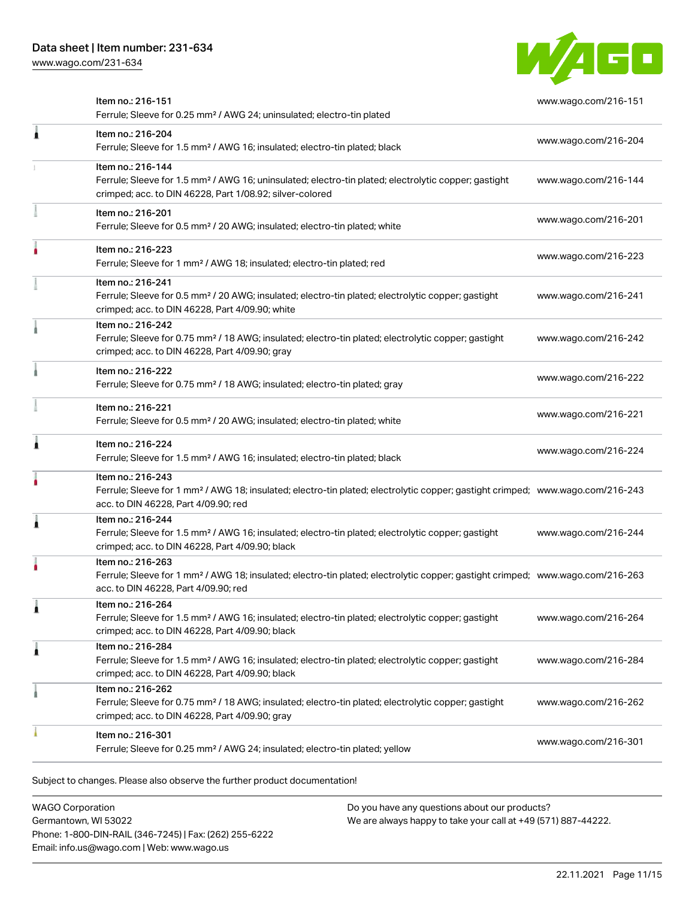[www.wago.com/231-634](http://www.wago.com/231-634)



| Item no.: 216-151<br>Ferrule; Sleeve for 0.25 mm <sup>2</sup> / AWG 24; uninsulated; electro-tin plated                                                                                           | www.wago.com/216-151                                                                                                                                                                                                                                                                     |
|---------------------------------------------------------------------------------------------------------------------------------------------------------------------------------------------------|------------------------------------------------------------------------------------------------------------------------------------------------------------------------------------------------------------------------------------------------------------------------------------------|
| Item no.: 216-204<br>Ferrule; Sleeve for 1.5 mm <sup>2</sup> / AWG 16; insulated; electro-tin plated; black                                                                                       | www.wago.com/216-204                                                                                                                                                                                                                                                                     |
| Item no.: 216-144<br>Ferrule; Sleeve for 1.5 mm <sup>2</sup> / AWG 16; uninsulated; electro-tin plated; electrolytic copper; gastight<br>crimped; acc. to DIN 46228, Part 1/08.92; silver-colored | www.wago.com/216-144                                                                                                                                                                                                                                                                     |
| Item no.: 216-201<br>Ferrule; Sleeve for 0.5 mm <sup>2</sup> / 20 AWG; insulated; electro-tin plated; white                                                                                       | www.wago.com/216-201                                                                                                                                                                                                                                                                     |
| Item no.: 216-223<br>Ferrule; Sleeve for 1 mm <sup>2</sup> / AWG 18; insulated; electro-tin plated; red                                                                                           | www.wago.com/216-223                                                                                                                                                                                                                                                                     |
| Item no.: 216-241<br>Ferrule; Sleeve for 0.5 mm <sup>2</sup> / 20 AWG; insulated; electro-tin plated; electrolytic copper; gastight<br>crimped; acc. to DIN 46228, Part 4/09.90; white            | www.wago.com/216-241                                                                                                                                                                                                                                                                     |
| Item no.: 216-242<br>Ferrule; Sleeve for 0.75 mm <sup>2</sup> / 18 AWG; insulated; electro-tin plated; electrolytic copper; gastight<br>crimped; acc. to DIN 46228, Part 4/09.90; gray            | www.wago.com/216-242                                                                                                                                                                                                                                                                     |
| Item no.: 216-222<br>Ferrule; Sleeve for 0.75 mm <sup>2</sup> / 18 AWG; insulated; electro-tin plated; gray                                                                                       | www.wago.com/216-222                                                                                                                                                                                                                                                                     |
| Item no.: 216-221<br>Ferrule; Sleeve for 0.5 mm <sup>2</sup> / 20 AWG; insulated; electro-tin plated; white                                                                                       | www.wago.com/216-221                                                                                                                                                                                                                                                                     |
| Item no.: 216-224<br>Ferrule; Sleeve for 1.5 mm <sup>2</sup> / AWG 16; insulated; electro-tin plated; black                                                                                       | www.wago.com/216-224                                                                                                                                                                                                                                                                     |
| Item no.: 216-243<br>acc. to DIN 46228, Part 4/09.90; red                                                                                                                                         |                                                                                                                                                                                                                                                                                          |
| Item no.: 216-244<br>Ferrule; Sleeve for 1.5 mm <sup>2</sup> / AWG 16; insulated; electro-tin plated; electrolytic copper; gastight<br>crimped; acc. to DIN 46228, Part 4/09.90; black            | www.wago.com/216-244                                                                                                                                                                                                                                                                     |
| Item no.: 216-263<br>acc. to DIN 46228, Part 4/09.90; red                                                                                                                                         |                                                                                                                                                                                                                                                                                          |
| Item no.: 216-264<br>Ferrule; Sleeve for 1.5 mm <sup>2</sup> / AWG 16; insulated; electro-tin plated; electrolytic copper; gastight<br>crimped; acc. to DIN 46228, Part 4/09.90; black            | www.wago.com/216-264                                                                                                                                                                                                                                                                     |
| Item no.: 216-284<br>Ferrule; Sleeve for 1.5 mm <sup>2</sup> / AWG 16; insulated; electro-tin plated; electrolytic copper; gastight<br>crimped; acc. to DIN 46228, Part 4/09.90; black            | www.wago.com/216-284                                                                                                                                                                                                                                                                     |
| Item no.: 216-262<br>Ferrule; Sleeve for 0.75 mm <sup>2</sup> / 18 AWG; insulated; electro-tin plated; electrolytic copper; gastight<br>crimped; acc. to DIN 46228, Part 4/09.90; gray            | www.wago.com/216-262                                                                                                                                                                                                                                                                     |
| Item no.: 216-301<br>Ferrule; Sleeve for 0.25 mm <sup>2</sup> / AWG 24; insulated; electro-tin plated; yellow                                                                                     | www.wago.com/216-301                                                                                                                                                                                                                                                                     |
|                                                                                                                                                                                                   | Ferrule; Sleeve for 1 mm <sup>2</sup> / AWG 18; insulated; electro-tin plated; electrolytic copper; gastight crimped; www.wago.com/216-243<br>Ferrule; Sleeve for 1 mm <sup>2</sup> / AWG 18; insulated; electro-tin plated; electrolytic copper; gastight crimped; www.wago.com/216-263 |

Subject to changes. Please also observe the further product documentation!

WAGO Corporation Germantown, WI 53022 Phone: 1-800-DIN-RAIL (346-7245) | Fax: (262) 255-6222 Email: info.us@wago.com | Web: www.wago.us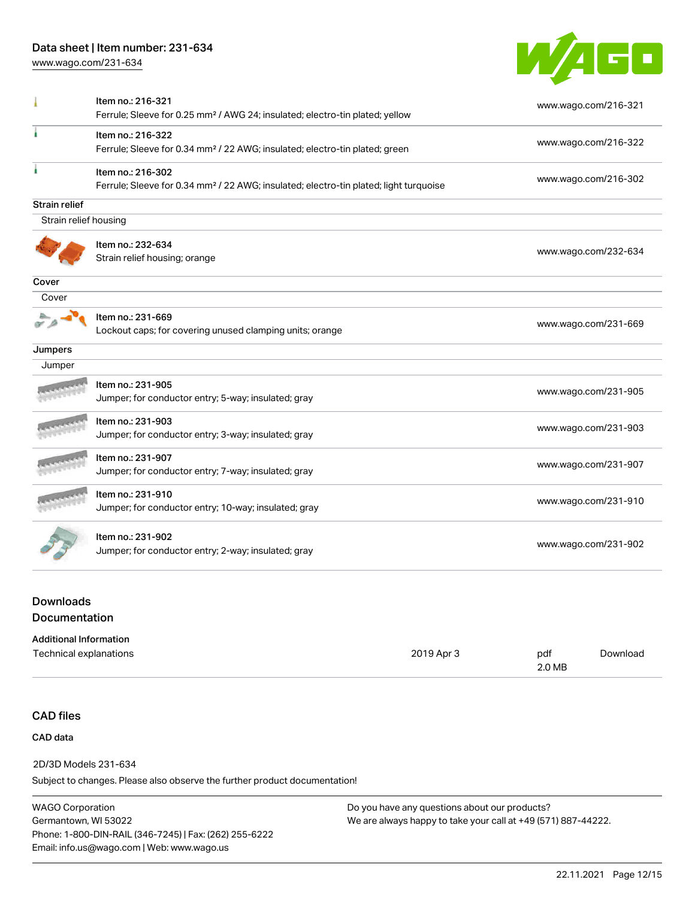[www.wago.com/231-634](http://www.wago.com/231-634)



|                       | Item no.: 216-321                                                                                 | www.wago.com/216-321 |
|-----------------------|---------------------------------------------------------------------------------------------------|----------------------|
|                       | Ferrule; Sleeve for 0.25 mm <sup>2</sup> / AWG 24; insulated; electro-tin plated; yellow          |                      |
|                       | Item no.: 216-322                                                                                 | www.wago.com/216-322 |
|                       | Ferrule; Sleeve for 0.34 mm <sup>2</sup> / 22 AWG; insulated; electro-tin plated; green           |                      |
|                       | Item no.: 216-302                                                                                 |                      |
|                       | Ferrule; Sleeve for 0.34 mm <sup>2</sup> / 22 AWG; insulated; electro-tin plated; light turquoise | www.wago.com/216-302 |
| <b>Strain relief</b>  |                                                                                                   |                      |
| Strain relief housing |                                                                                                   |                      |
|                       | Item no.: 232-634                                                                                 |                      |
|                       | Strain relief housing; orange                                                                     | www.wago.com/232-634 |
| Cover                 |                                                                                                   |                      |
| Cover                 |                                                                                                   |                      |
|                       | Item no.: 231-669                                                                                 | www.wago.com/231-669 |
|                       | Lockout caps; for covering unused clamping units; orange                                          |                      |
| Jumpers               |                                                                                                   |                      |
| Jumper                |                                                                                                   |                      |
|                       | Item no.: 231-905                                                                                 | www.wago.com/231-905 |
|                       | Jumper; for conductor entry; 5-way; insulated; gray                                               |                      |
|                       | Item no.: 231-903                                                                                 |                      |
|                       | Jumper; for conductor entry; 3-way; insulated; gray                                               | www.wago.com/231-903 |
|                       | Item no.: 231-907                                                                                 |                      |
|                       | Jumper; for conductor entry; 7-way; insulated; gray                                               | www.wago.com/231-907 |
|                       | Item no.: 231-910                                                                                 |                      |
|                       | Jumper; for conductor entry; 10-way; insulated; gray                                              | www.wago.com/231-910 |
|                       |                                                                                                   |                      |
|                       | Item no.: 231-902                                                                                 | www.wago.com/231-902 |

# **Downloads** Documentation

| <b>Additional Information</b> |            |        |          |
|-------------------------------|------------|--------|----------|
| Technical explanations        | 2019 Apr 3 | pdf    | Download |
|                               |            | 2.0 MB |          |

## CAD files

### CAD data

2D/3D Models 231-634

Subject to changes. Please also observe the further product documentation!

WAGO Corporation Germantown, WI 53022 Phone: 1-800-DIN-RAIL (346-7245) | Fax: (262) 255-6222 Email: info.us@wago.com | Web: www.wago.us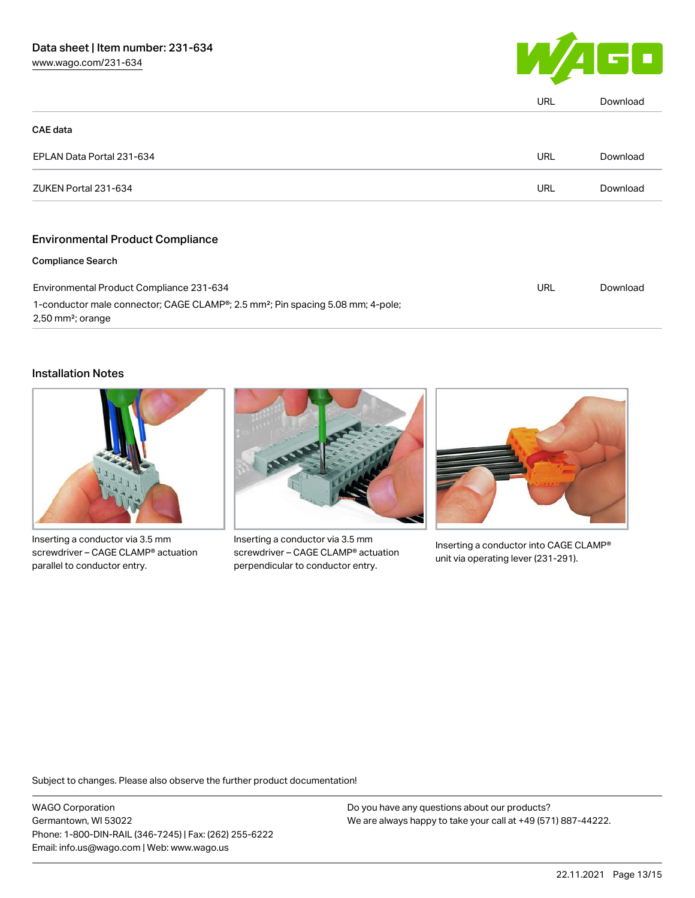

|                                                                                                                                | URL | Download |
|--------------------------------------------------------------------------------------------------------------------------------|-----|----------|
| <b>CAE</b> data                                                                                                                |     |          |
| EPLAN Data Portal 231-634                                                                                                      | URL | Download |
| ZUKEN Portal 231-634                                                                                                           | URL | Download |
| <b>Environmental Product Compliance</b>                                                                                        |     |          |
| <b>Compliance Search</b>                                                                                                       |     |          |
| Environmental Product Compliance 231-634                                                                                       | URL | Download |
| 1-conductor male connector; CAGE CLAMP®; 2.5 mm <sup>2</sup> ; Pin spacing 5.08 mm; 4-pole;<br>$2,50$ mm <sup>2</sup> ; orange |     |          |

# Installation Notes



Inserting a conductor via 3.5 mm screwdriver – CAGE CLAMP® actuation parallel to conductor entry.



Inserting a conductor via 3.5 mm screwdriver – CAGE CLAMP® actuation perpendicular to conductor entry.



Inserting a conductor into CAGE CLAMP® unit via operating lever (231-291).

Subject to changes. Please also observe the further product documentation!

WAGO Corporation Germantown, WI 53022 Phone: 1-800-DIN-RAIL (346-7245) | Fax: (262) 255-6222 Email: info.us@wago.com | Web: www.wago.us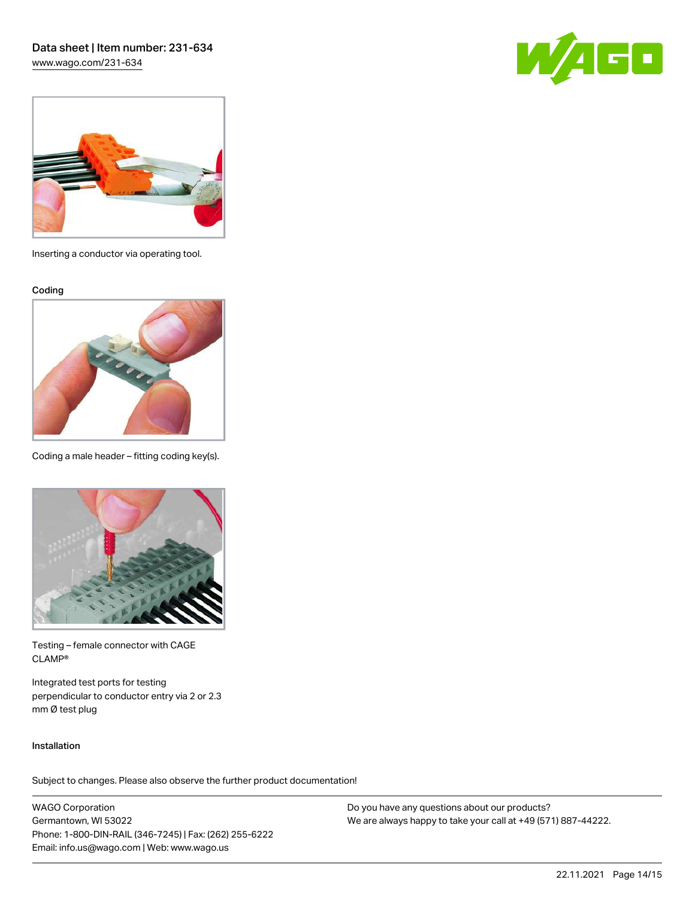[www.wago.com/231-634](http://www.wago.com/231-634)





Inserting a conductor via operating tool.

Coding



Coding a male header – fitting coding key(s).



Testing – female connector with CAGE CLAMP®

Integrated test ports for testing perpendicular to conductor entry via 2 or 2.3 mm Ø test plug

### Installation

Subject to changes. Please also observe the further product documentation!

WAGO Corporation Germantown, WI 53022 Phone: 1-800-DIN-RAIL (346-7245) | Fax: (262) 255-6222 Email: info.us@wago.com | Web: www.wago.us